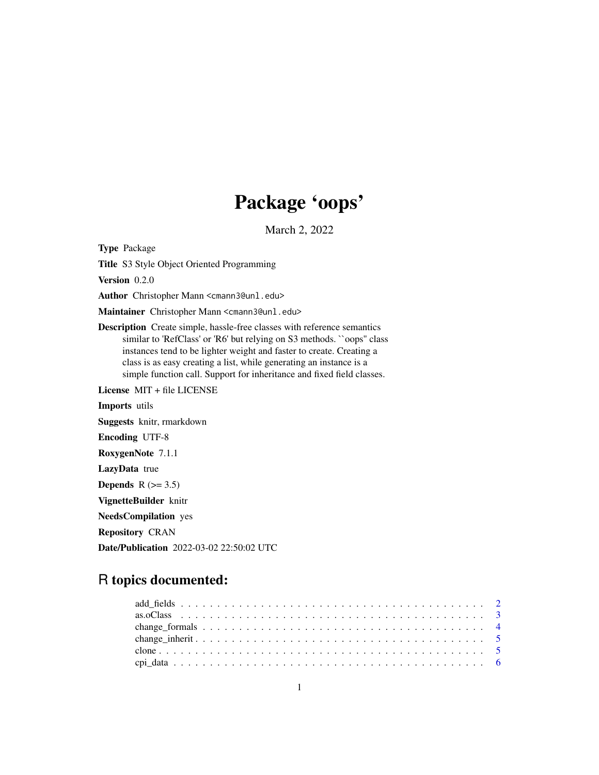# Package 'oops'

March 2, 2022

<span id="page-0-0"></span>Type Package

Title S3 Style Object Oriented Programming

Version 0.2.0

Author Christopher Mann <cmann3@unl.edu>

Maintainer Christopher Mann <cmann3@unl.edu>

Description Create simple, hassle-free classes with reference semantics similar to 'RefClass' or 'R6' but relying on S3 methods. ``oops'' class instances tend to be lighter weight and faster to create. Creating a class is as easy creating a list, while generating an instance is a simple function call. Support for inheritance and fixed field classes.

License MIT + file LICENSE Imports utils Suggests knitr, rmarkdown Encoding UTF-8 RoxygenNote 7.1.1 LazyData true Depends  $R$  ( $>= 3.5$ ) VignetteBuilder knitr NeedsCompilation yes Repository CRAN Date/Publication 2022-03-02 22:50:02 UTC

## R topics documented: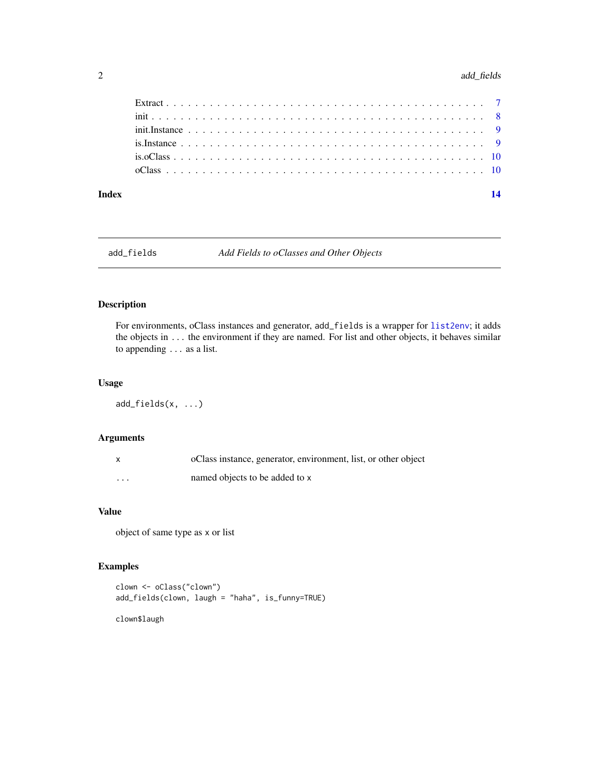#### <span id="page-1-0"></span>2 add\_fields

| 14                                                                                                                           |
|------------------------------------------------------------------------------------------------------------------------------|
|                                                                                                                              |
|                                                                                                                              |
|                                                                                                                              |
|                                                                                                                              |
|                                                                                                                              |
|                                                                                                                              |
| $init. Instance \dots \dots \dots \dots \dots \dots \dots \dots \dots \dots \dots \dots \dots \dots \dots \dots \dots \dots$ |

add\_fields *Add Fields to oClasses and Other Objects*

#### Description

For environments, oClass instances and generator, add\_fields is a wrapper for [list2env](#page-0-0); it adds the objects in ... the environment if they are named. For list and other objects, it behaves similar to appending ... as a list.

#### Usage

```
add_fields(x, ...)
```
#### Arguments

|          | oClass instance, generator, environment, list, or other object |
|----------|----------------------------------------------------------------|
| $\cdots$ | named objects to be added to x                                 |

#### Value

object of same type as x or list

#### Examples

```
clown <- oClass("clown")
add_fields(clown, laugh = "haha", is_funny=TRUE)
```
clown\$laugh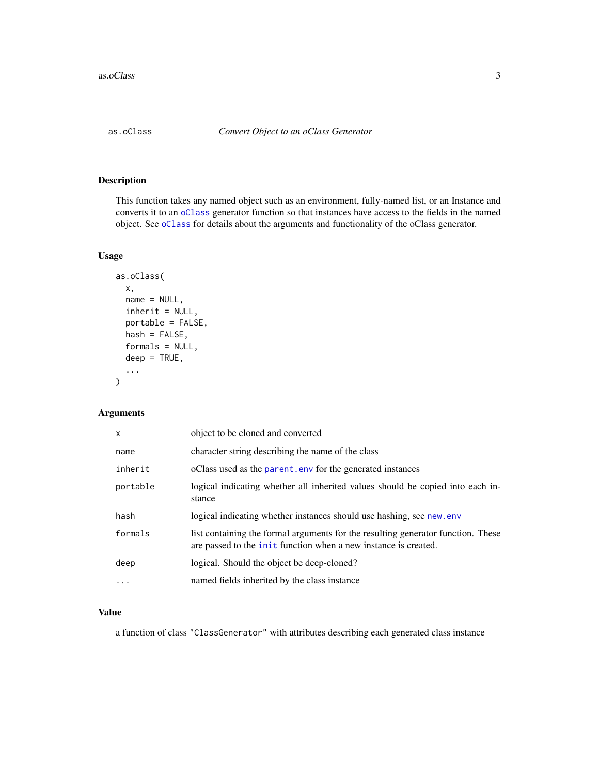<span id="page-2-0"></span>

This function takes any named object such as an environment, fully-named list, or an Instance and converts it to an [oClass](#page-9-1) generator function so that instances have access to the fields in the named object. See [oClass](#page-9-1) for details about the arguments and functionality of the oClass generator.

#### Usage

```
as.oClass(
  x,
  name = NULL,
  inherit = NULL,portable = FALSE,
  hash = FALSE,formals = NULL,
  deep = TRUE,...
)
```
#### Arguments

| $\mathsf{x}$ | object to be cloned and converted                                                                                                                          |
|--------------|------------------------------------------------------------------------------------------------------------------------------------------------------------|
| name         | character string describing the name of the class                                                                                                          |
| inherit      | oClass used as the parent. env for the generated instances                                                                                                 |
| portable     | logical indicating whether all inherited values should be copied into each in-<br>stance                                                                   |
| hash         | logical indicating whether instances should use hashing, see new.env                                                                                       |
| formals      | list containing the formal arguments for the resulting generator function. These<br>are passed to the <i>init</i> function when a new instance is created. |
| deep         | logical. Should the object be deep-cloned?                                                                                                                 |
| .            | named fields inherited by the class instance                                                                                                               |
|              |                                                                                                                                                            |

#### Value

a function of class "ClassGenerator" with attributes describing each generated class instance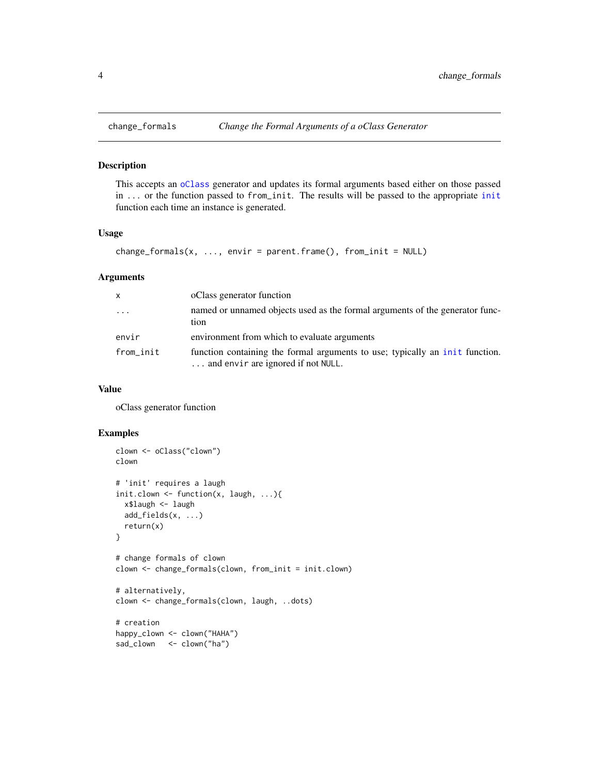<span id="page-3-0"></span>

This accepts an [oClass](#page-9-1) generator and updates its formal arguments based either on those passed in ... or the function passed to from\_init. The results will be passed to the appropriate [init](#page-7-1) function each time an instance is generated.

#### Usage

```
change_formals(x, ..., envir = parent.frame(), from_init = NULL)
```
#### Arguments

| X         | oClass generator function                                                                                          |
|-----------|--------------------------------------------------------------------------------------------------------------------|
| $\ddots$  | named or unnamed objects used as the formal arguments of the generator func-<br>tion                               |
| envir     | environment from which to evaluate arguments                                                                       |
| from_init | function containing the formal arguments to use; typically an init function.<br>and envir are ignored if not NULL. |

#### Value

oClass generator function

#### Examples

```
clown <- oClass("clown")
clown
# 'init' requires a laugh
init.clown <- function(x, laugh, ...){
  x$laugh <- laugh
  add_fields(x, ...)
  return(x)
}
# change formals of clown
clown <- change_formals(clown, from_init = init.clown)
# alternatively,
clown <- change_formals(clown, laugh, ..dots)
# creation
happy_clown <- clown("HAHA")
sad_clown <- clown("ha")
```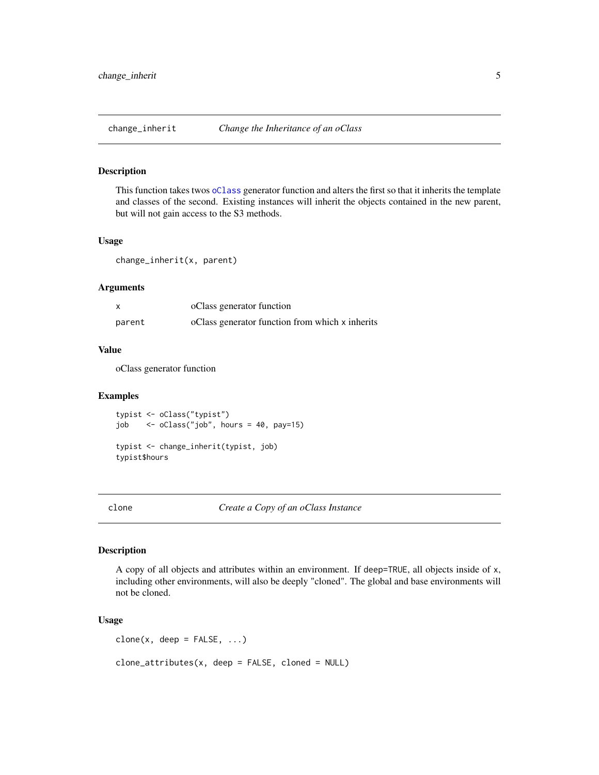<span id="page-4-0"></span>

This function takes twos [oClass](#page-9-1) generator function and alters the first so that it inherits the template and classes of the second. Existing instances will inherit the objects contained in the new parent, but will not gain access to the S3 methods.

#### Usage

change\_inherit(x, parent)

#### Arguments

|        | oClass generator function                       |
|--------|-------------------------------------------------|
| parent | oClass generator function from which x inherits |

### Value

oClass generator function

#### Examples

typist <- oClass("typist") job <- oClass("job", hours = 40, pay=15) typist <- change\_inherit(typist, job) typist\$hours

clone *Create a Copy of an oClass Instance*

#### Description

A copy of all objects and attributes within an environment. If deep=TRUE, all objects inside of x, including other environments, will also be deeply "cloned". The global and base environments will not be cloned.

#### Usage

 $clone(x, deep = FALSE, ...)$ clone\_attributes(x, deep = FALSE, cloned = NULL)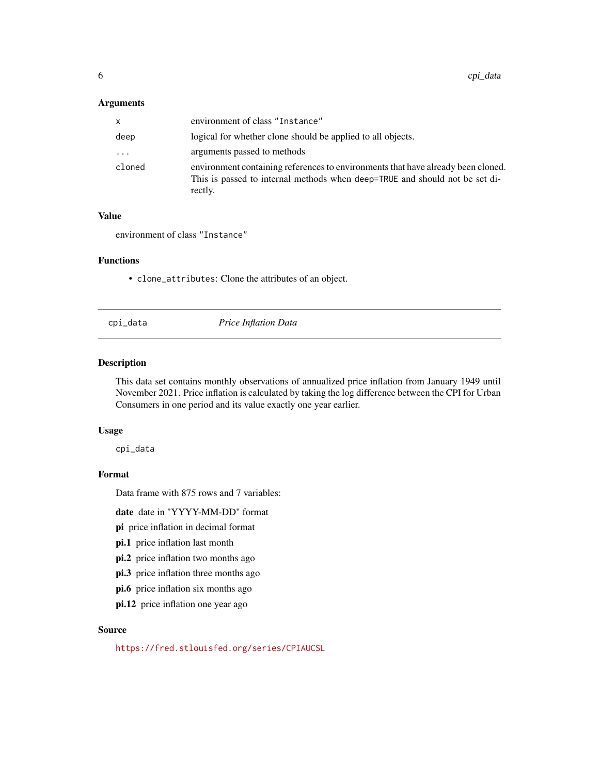#### <span id="page-5-0"></span>Arguments

| x        | environment of class "Instance"                                                                                                                                            |
|----------|----------------------------------------------------------------------------------------------------------------------------------------------------------------------------|
| deep     | logical for whether clone should be applied to all objects.                                                                                                                |
| $\cdots$ | arguments passed to methods                                                                                                                                                |
| cloned   | environment containing references to environments that have already been cloned.<br>This is passed to internal methods when deep=TRUE and should not be set di-<br>rectly. |

#### Value

environment of class "Instance"

#### Functions

• clone\_attributes: Clone the attributes of an object.

### cpi\_data *Price Inflation Data*

#### Description

This data set contains monthly observations of annualized price inflation from January 1949 until November 2021. Price inflation is calculated by taking the log difference between the CPI for Urban Consumers in one period and its value exactly one year earlier.

#### Usage

cpi\_data

#### Format

Data frame with 875 rows and 7 variables:

date date in "YYYY-MM-DD" format

pi price inflation in decimal format

pi.1 price inflation last month

pi.2 price inflation two months ago

pi.3 price inflation three months ago

pi.6 price inflation six months ago

pi.12 price inflation one year ago

#### Source

<https://fred.stlouisfed.org/series/CPIAUCSL>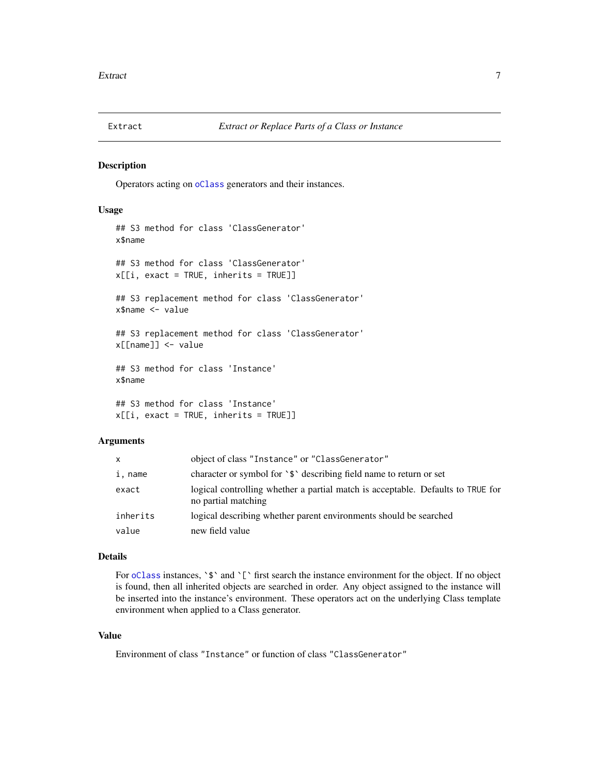<span id="page-6-0"></span>

Operators acting on [oClass](#page-9-1) generators and their instances.

#### Usage

```
## S3 method for class 'ClassGenerator'
x$name
## S3 method for class 'ClassGenerator'
x[[i, exact = TRUE, inherits = TRUE]]## S3 replacement method for class 'ClassGenerator'
x$name <- value
## S3 replacement method for class 'ClassGenerator'
x[[name]] <- value
## S3 method for class 'Instance'
x$name
## S3 method for class 'Instance'
x[[i, exact = TRUE, inherits = TRUE]]
```
#### Arguments

| x        | object of class "Instance" or "ClassGenerator"                                                         |
|----------|--------------------------------------------------------------------------------------------------------|
| i, name  | character or symbol for '\$' describing field name to return or set                                    |
| exact    | logical controlling whether a partial match is acceptable. Defaults to TRUE for<br>no partial matching |
| inherits | logical describing whether parent environments should be searched                                      |
| value    | new field value                                                                                        |

#### Details

For [oClass](#page-9-1) instances,  $\sqrt{s}$  and  $\Gamma$  first search the instance environment for the object. If no object is found, then all inherited objects are searched in order. Any object assigned to the instance will be inserted into the instance's environment. These operators act on the underlying Class template environment when applied to a Class generator.

#### Value

Environment of class "Instance" or function of class "ClassGenerator"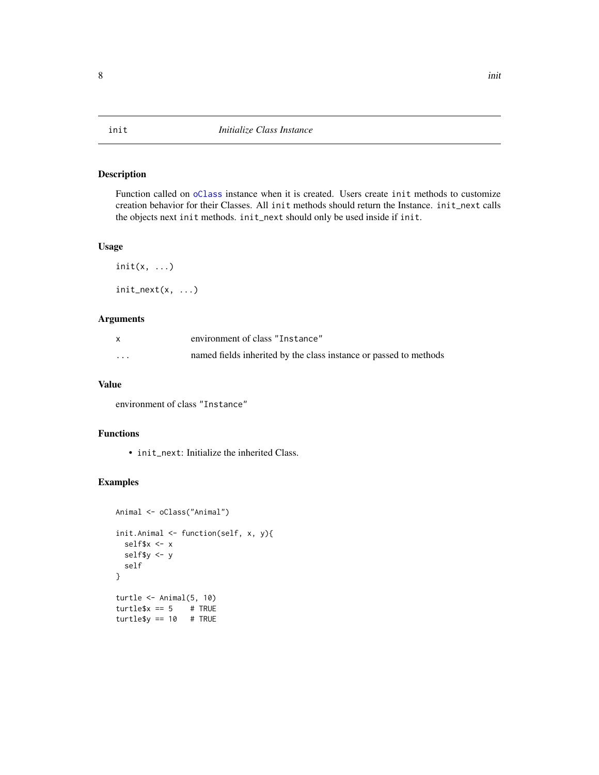Function called on [oClass](#page-9-1) instance when it is created. Users create init methods to customize creation behavior for their Classes. All init methods should return the Instance. init\_next calls the objects next init methods. init\_next should only be used inside if init.

#### Usage

 $init(x, \ldots)$ init\_next(x, ...)

#### Arguments

|                         | environment of class "Instance"                                   |
|-------------------------|-------------------------------------------------------------------|
| $\cdot$ $\cdot$ $\cdot$ | named fields inherited by the class instance or passed to methods |

#### Value

environment of class "Instance"

#### Functions

• init\_next: Initialize the inherited Class.

#### Examples

```
Animal <- oClass("Animal")
init.Animal <- function(self, x, y){
 self$x <- x
 self$y <- y
 self
}
turtle <- Animal(5, 10)
turtle$x == 5 # TRUE
turtle$y == 10 # TRUE
```
#### <span id="page-7-1"></span><span id="page-7-0"></span>8 initial contracts and the contracts of the contracts of the contracts of the contracts of the contracts of the contracts of the contracts of the contracts of the contracts of the contracts of the contracts of the contrac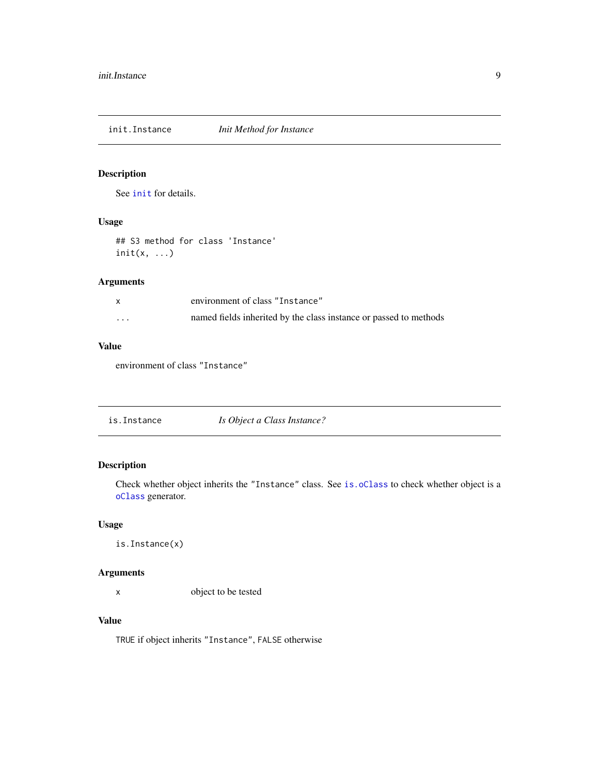<span id="page-8-0"></span>init.Instance *Init Method for Instance*

#### Description

See [init](#page-7-1) for details.

#### Usage

## S3 method for class 'Instance'  $init(x, \ldots)$ 

#### Arguments

|                         | environment of class "Instance"                                   |
|-------------------------|-------------------------------------------------------------------|
| $\cdot$ $\cdot$ $\cdot$ | named fields inherited by the class instance or passed to methods |

#### Value

environment of class "Instance"

<span id="page-8-1"></span>

| is.Instance | Is Object a Class Instance? |
|-------------|-----------------------------|
|-------------|-----------------------------|

#### Description

Check whether object inherits the "Instance" class. See [is.oClass](#page-9-2) to check whether object is a [oClass](#page-9-1) generator.

#### Usage

is.Instance(x)

#### Arguments

x object to be tested

#### Value

TRUE if object inherits "Instance", FALSE otherwise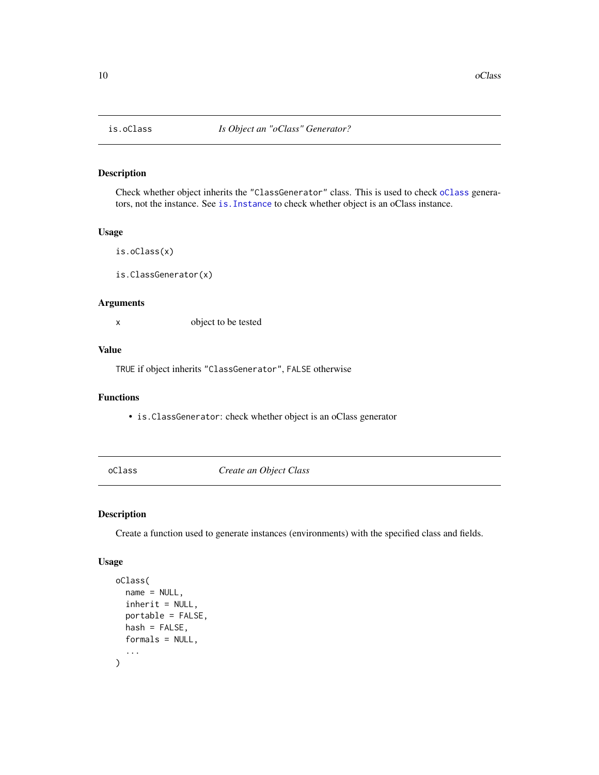Check whether object inherits the "ClassGenerator" class. This is used to check [oClass](#page-9-1) generators, not the instance. See [is.Instance](#page-8-1) to check whether object is an oClass instance.

#### Usage

```
is.oClass(x)
```
is.ClassGenerator(x)

#### Arguments

x object to be tested

#### Value

TRUE if object inherits "ClassGenerator", FALSE otherwise

#### Functions

• is.ClassGenerator: check whether object is an oClass generator

<span id="page-9-1"></span>oClass *Create an Object Class*

#### Description

Create a function used to generate instances (environments) with the specified class and fields.

#### Usage

```
oClass(
  name = NULL,
  inherit = NULL,portable = FALSE,
  hash = FALSE,
  formals = NULL,
  ...
\mathcal{L}
```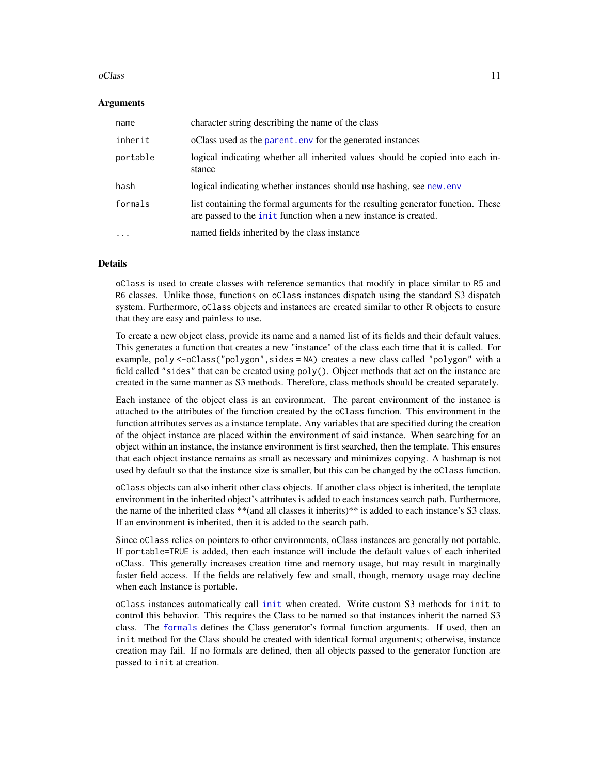#### <span id="page-10-0"></span>oClass and the contract of the contract of the contract of the contract of the contract of the contract of the contract of the contract of the contract of the contract of the contract of the contract of the contract of the

#### Arguments

| name     | character string describing the name of the class                                                                                                          |
|----------|------------------------------------------------------------------------------------------------------------------------------------------------------------|
| inherit  | oClass used as the parent. env for the generated instances                                                                                                 |
| portable | logical indicating whether all inherited values should be copied into each in-<br>stance                                                                   |
| hash     | logical indicating whether instances should use hashing, see new. env                                                                                      |
| formals  | list containing the formal arguments for the resulting generator function. These<br>are passed to the <i>init</i> function when a new instance is created. |
| $\cdots$ | named fields inherited by the class instance                                                                                                               |

#### Details

oClass is used to create classes with reference semantics that modify in place similar to R5 and R6 classes. Unlike those, functions on oClass instances dispatch using the standard S3 dispatch system. Furthermore, oClass objects and instances are created similar to other R objects to ensure that they are easy and painless to use.

To create a new object class, provide its name and a named list of its fields and their default values. This generates a function that creates a new "instance" of the class each time that it is called. For example, poly <-oClass("polygon", sides = NA) creates a new class called "polygon" with a field called "sides" that can be created using poly(). Object methods that act on the instance are created in the same manner as S3 methods. Therefore, class methods should be created separately.

Each instance of the object class is an environment. The parent environment of the instance is attached to the attributes of the function created by the oClass function. This environment in the function attributes serves as a instance template. Any variables that are specified during the creation of the object instance are placed within the environment of said instance. When searching for an object within an instance, the instance environment is first searched, then the template. This ensures that each object instance remains as small as necessary and minimizes copying. A hashmap is not used by default so that the instance size is smaller, but this can be changed by the oClass function.

oClass objects can also inherit other class objects. If another class object is inherited, the template environment in the inherited object's attributes is added to each instances search path. Furthermore, the name of the inherited class \*\*(and all classes it inherits)\*\* is added to each instance's S3 class. If an environment is inherited, then it is added to the search path.

Since oClass relies on pointers to other environments, oClass instances are generally not portable. If portable=TRUE is added, then each instance will include the default values of each inherited oClass. This generally increases creation time and memory usage, but may result in marginally faster field access. If the fields are relatively few and small, though, memory usage may decline when each Instance is portable.

oClass instances automatically call [init](#page-7-1) when created. Write custom S3 methods for init to control this behavior. This requires the Class to be named so that instances inherit the named S3 class. The [formals](#page-0-0) defines the Class generator's formal function arguments. If used, then an init method for the Class should be created with identical formal arguments; otherwise, instance creation may fail. If no formals are defined, then all objects passed to the generator function are passed to init at creation.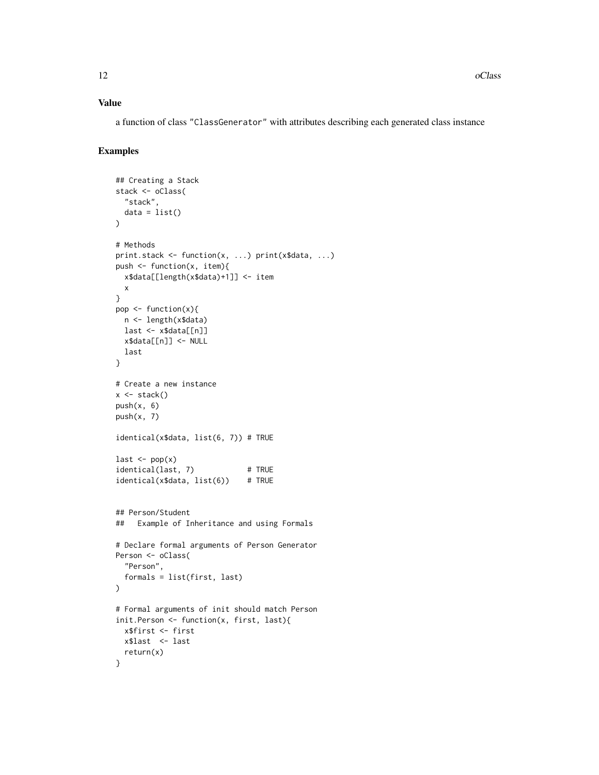#### Value

a function of class "ClassGenerator" with attributes describing each generated class instance

#### Examples

```
## Creating a Stack
stack <- oClass(
  "stack",
 data = list())
# Methods
print.stack <- function(x, ...) print(x$data, ...)
push <- function(x, item){
  x$data[[length(x$data)+1]] <- item
  x
}
pop <- function(x){
  n <- length(x$data)
  last <- x$data[[n]]
  x$data[[n]] <- NULL
  last
}
# Create a new instance
x \leftarrow stack()
push(x, 6)push(x, 7)identical(x$data, list(6, 7)) # TRUE
last \leftarrow pop(x)identical(last, 7) # TRUE
identical(x$data, list(6)) # TRUE
## Person/Student
## Example of Inheritance and using Formals
# Declare formal arguments of Person Generator
Person <- oClass(
  "Person",
  formals = list(first, last)
\mathcal{L}# Formal arguments of init should match Person
init.Person <- function(x, first, last){
  x$first <- first
 x$last <- last
  return(x)
}
```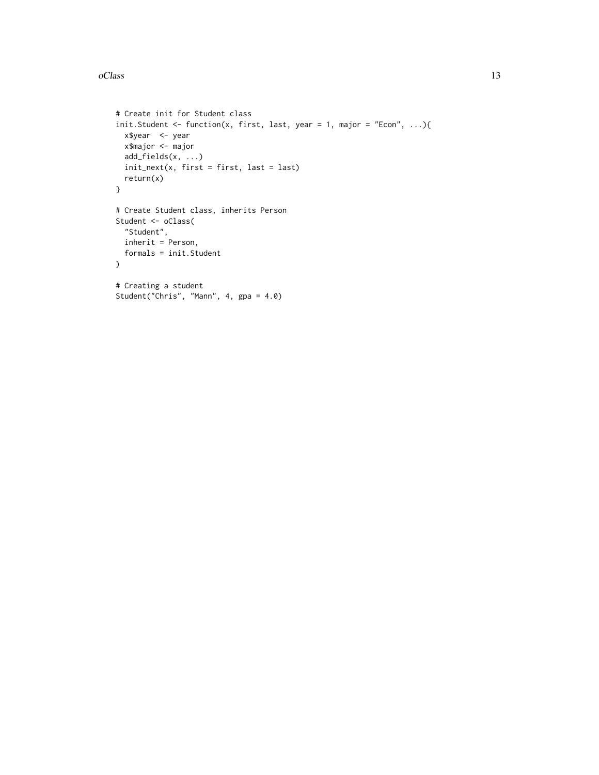#### oClass and the contract of the contract of the contract of the contract of the contract of the contract of the contract of the contract of the contract of the contract of the contract of the contract of the contract of the

```
# Create init for Student class
init.Student <- function(x, first, last, year = 1, major = "Econ", ...){
 x$year <- year
 x$major <- major
 add_fields(x, ...)
 init\_next(x, first = first, last = last)return(x)
}
# Create Student class, inherits Person
Student <- oClass(
 "Student",
  inherit = Person,
 formals = init.Student
)
# Creating a student
Student("Chris", "Mann", 4, gpa = 4.0)
```